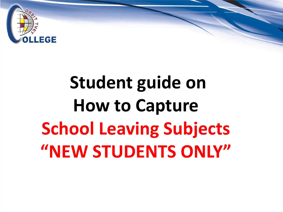

## **Student guide on How to Capture School Leaving Subjects "NEW STUDENTS ONLY"**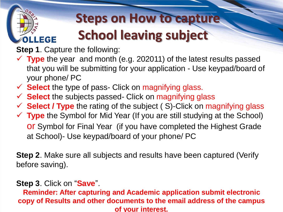# **OLLEGE**

### **Steps on How to capture School leaving subject**

**Step 1**. Capture the following:

- **Type** the year and month (e.g. 202011) of the latest results passed that you will be submitting for your application - Use keypad/board of your phone/ PC
- **V** Select the type of pass- Click on magnifying glass.
- **V** Select the subjects passed- Click on magnifying glass
- **Select / Type** the rating of the subject ( S)-Click on magnifying glass
- **Type** the Symbol for Mid Year (If you are still studying at the School) or Symbol for Final Year (if you have completed the Highest Grade at School)- Use keypad/board of your phone/ PC

**Step 2**. Make sure all subjects and results have been captured (Verify before saving).

#### **Step 3**. Click on "**Save**".

**Reminder: After capturing and Academic application submit electronic copy of Results and other documents to the email address of the campus of your interest.**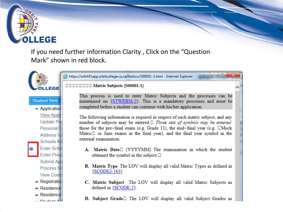## **LLEGE**

If you need further information Clarity, Click on the "Question" Mark" shown in red block.



https://orbit41app.orbitcollege.co.za/itsdocs/S00001-1.html - Internet Explorer

 $= 0$ 

x

**DODDDDD Matric Subjects {S00001-1}** 

**Student Web** 

Application **View Appli** Update Pe Personal 0 **Address V Schools A Enter Scho Enter Prev Submit Ap Process S View Com**  $\sim$  Registratio

- $\vee$  Residence
- $\sim$  Residence
- $\cdot$   $P$  is dont A

This process is used to enter Matric Subjects and the processes can be maintained on {STWEBM-2}. This is a mandatory processes and must be completed before a student can continue with his/her application.

The following information is required in respect of each matric subject, and any number of subjects may be entered.  $\Box$  Three sets of symbols may be entered: those for the pre-final exam (e.g. Grade 11), the mid-final year (e.g. DMock Matric $\Box$  or June exams in the final year), and the final year symbol in the external examination.

- A. Matric Date (YYYYMM) The examination in which the student obtained the symbol in the subject.  $\square$
- **B.** Matric Type The LOV will display all valid Matric Types as defined in  ${SOODE3-1b3}$
- C. Matric Subject The LOV will display all valid Matric Subjects as defined in  ${SCODE-5}$ .
- D. Subject Grade<sup>[]</sup> The LOV will display all valid Subject Grades as